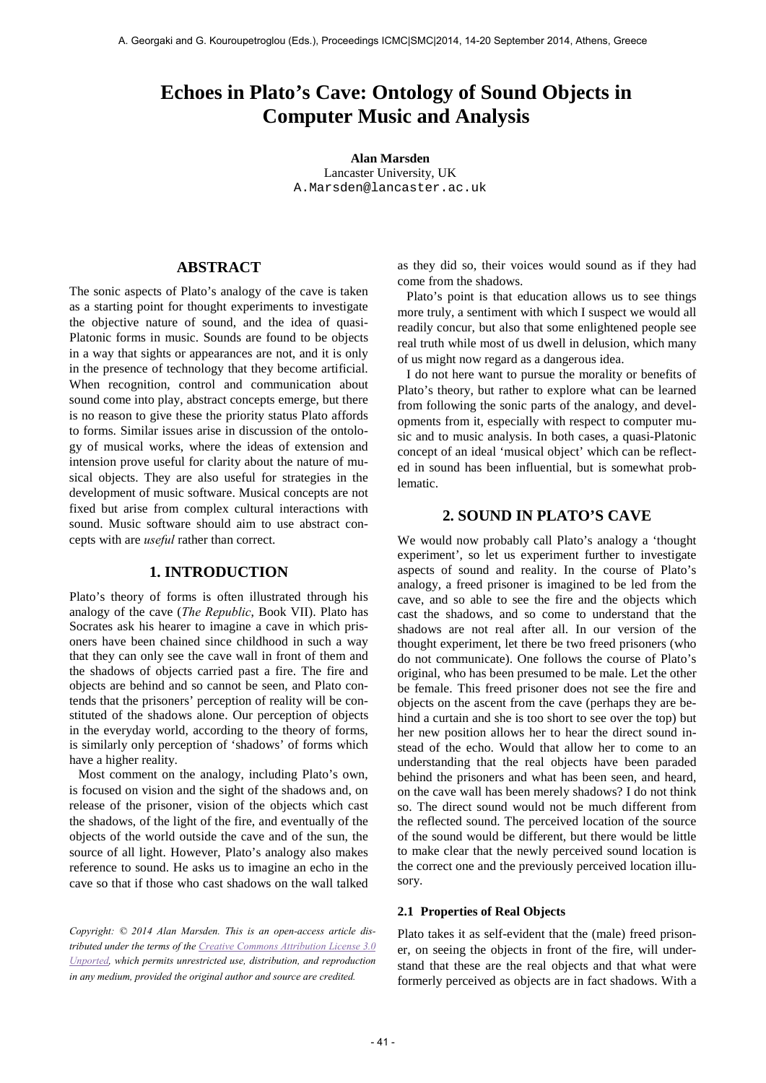# **Echoes in Plato's Cave: Ontology of Sound Objects in Computer Music and Analysis**

**Alan Marsden** Lancaster University, UK [A.Marsden@lancaster.ac.uk](mailto:A.Marsden@lancaster.ac.uk)

# **ABSTRACT**

The sonic aspects of Plato's analogy of the cave is taken as a starting point for thought experiments to investigate the objective nature of sound, and the idea of quasi-Platonic forms in music. Sounds are found to be objects in a way that sights or appearances are not, and it is only in the presence of technology that they become artificial. When recognition, control and communication about sound come into play, abstract concepts emerge, but there is no reason to give these the priority status Plato affords to forms. Similar issues arise in discussion of the ontology of musical works, where the ideas of extension and intension prove useful for clarity about the nature of musical objects. They are also useful for strategies in the development of music software. Musical concepts are not fixed but arise from complex cultural interactions with sound. Music software should aim to use abstract concepts with are *useful* rather than correct.

### **1. INTRODUCTION**

Plato's theory of forms is often illustrated through his analogy of the cave (*The Republic*, Book VII). Plato has Socrates ask his hearer to imagine a cave in which prisoners have been chained since childhood in such a way that they can only see the cave wall in front of them and the shadows of objects carried past a fire. The fire and objects are behind and so cannot be seen, and Plato contends that the prisoners' perception of reality will be constituted of the shadows alone. Our perception of objects in the everyday world, according to the theory of forms, is similarly only perception of 'shadows' of forms which have a higher reality.

Most comment on the analogy, including Plato's own, is focused on vision and the sight of the shadows and, on release of the prisoner, vision of the objects which cast the shadows, of the light of the fire, and eventually of the objects of the world outside the cave and of the sun, the source of all light. However, Plato's analogy also makes reference to sound. He asks us to imagine an echo in the cave so that if those who cast shadows on the wall talked

*Copyright: © 2014 Alan Marsden. This is an open-access article distributed under the terms of th[e Creative Commons Attribution License 3.0](http://creativecommons.org/licenses/by/3.0/)  [Unported,](http://creativecommons.org/licenses/by/3.0/) which permits unrestricted use, distribution, and reproduction in any medium, provided the original author and source are credited.*

as they did so, their voices would sound as if they had come from the shadows.

Plato's point is that education allows us to see things more truly, a sentiment with which I suspect we would all readily concur, but also that some enlightened people see real truth while most of us dwell in delusion, which many of us might now regard as a dangerous idea.

I do not here want to pursue the morality or benefits of Plato's theory, but rather to explore what can be learned from following the sonic parts of the analogy, and developments from it, especially with respect to computer music and to music analysis. In both cases, a quasi-Platonic concept of an ideal 'musical object' which can be reflected in sound has been influential, but is somewhat problematic.

# **2. SOUND IN PLATO'S CAVE**

We would now probably call Plato's analogy a 'thought experiment', so let us experiment further to investigate aspects of sound and reality. In the course of Plato's analogy, a freed prisoner is imagined to be led from the cave, and so able to see the fire and the objects which cast the shadows, and so come to understand that the shadows are not real after all. In our version of the thought experiment, let there be two freed prisoners (who do not communicate). One follows the course of Plato's original, who has been presumed to be male. Let the other be female. This freed prisoner does not see the fire and objects on the ascent from the cave (perhaps they are behind a curtain and she is too short to see over the top) but her new position allows her to hear the direct sound instead of the echo. Would that allow her to come to an understanding that the real objects have been paraded behind the prisoners and what has been seen, and heard, on the cave wall has been merely shadows? I do not think so. The direct sound would not be much different from the reflected sound. The perceived location of the source of the sound would be different, but there would be little to make clear that the newly perceived sound location is the correct one and the previously perceived location illusory.

### **2.1 Properties of Real Objects**

Plato takes it as self-evident that the (male) freed prisoner, on seeing the objects in front of the fire, will understand that these are the real objects and that what were formerly perceived as objects are in fact shadows. With a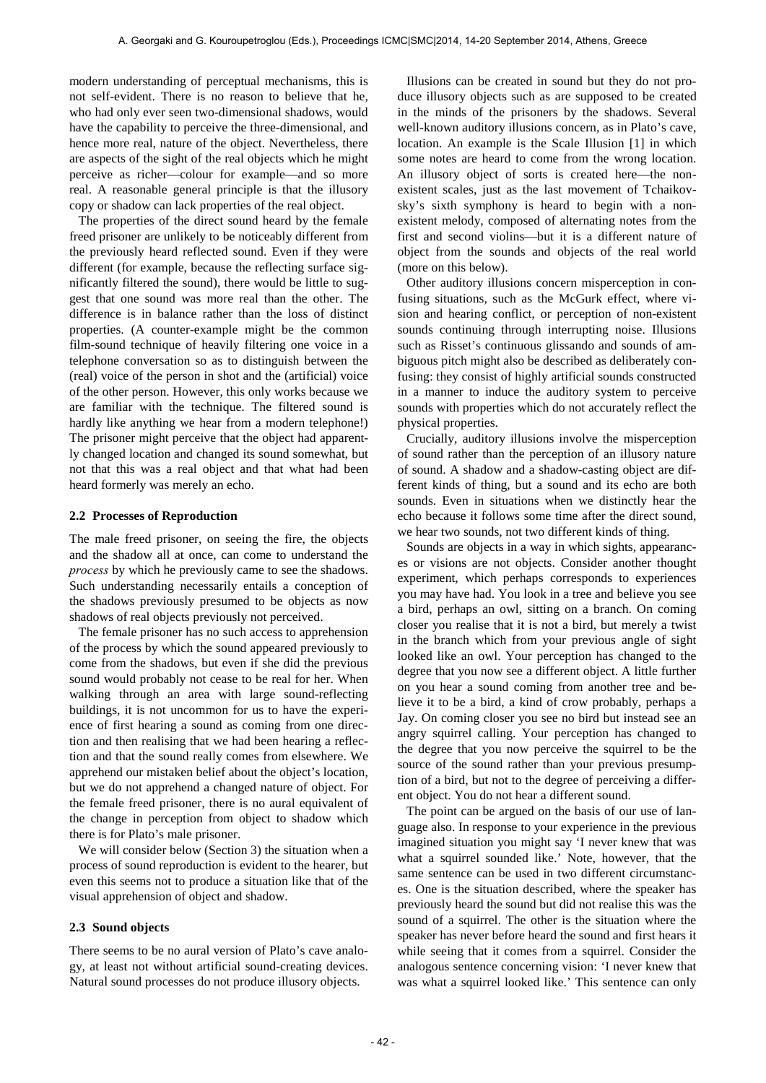modern understanding of perceptual mechanisms, this is not self-evident. There is no reason to believe that he, who had only ever seen two-dimensional shadows, would have the capability to perceive the three-dimensional, and hence more real, nature of the object. Nevertheless, there are aspects of the sight of the real objects which he might perceive as richer—colour for example—and so more real. A reasonable general principle is that the illusory copy or shadow can lack properties of the real object.

The properties of the direct sound heard by the female freed prisoner are unlikely to be noticeably different from the previously heard reflected sound. Even if they were different (for example, because the reflecting surface significantly filtered the sound), there would be little to suggest that one sound was more real than the other. The difference is in balance rather than the loss of distinct properties. (A counter-example might be the common film-sound technique of heavily filtering one voice in a telephone conversation so as to distinguish between the (real) voice of the person in shot and the (artificial) voice of the other person. However, this only works because we are familiar with the technique. The filtered sound is hardly like anything we hear from a modern telephone!) The prisoner might perceive that the object had apparently changed location and changed its sound somewhat, but not that this was a real object and that what had been heard formerly was merely an echo.

#### **2.2 Processes of Reproduction**

The male freed prisoner, on seeing the fire, the objects and the shadow all at once, can come to understand the *process* by which he previously came to see the shadows. Such understanding necessarily entails a conception of the shadows previously presumed to be objects as now shadows of real objects previously not perceived.

The female prisoner has no such access to apprehension of the process by which the sound appeared previously to come from the shadows, but even if she did the previous sound would probably not cease to be real for her. When walking through an area with large sound-reflecting buildings, it is not uncommon for us to have the experience of first hearing a sound as coming from one direction and then realising that we had been hearing a reflection and that the sound really comes from elsewhere. We apprehend our mistaken belief about the object's location, but we do not apprehend a changed nature of object. For the female freed prisoner, there is no aural equivalent of the change in perception from object to shadow which there is for Plato's male prisoner.

We will consider below (Section 3) the situation when a process of sound reproduction is evident to the hearer, but even this seems not to produce a situation like that of the visual apprehension of object and shadow.

### **2.3 Sound objects**

There seems to be no aural version of Plato's cave analogy, at least not without artificial sound-creating devices. Natural sound processes do not produce illusory objects.

Illusions can be created in sound but they do not produce illusory objects such as are supposed to be created in the minds of the prisoners by the shadows. Several well-known auditory illusions concern, as in Plato's cave, location. An example is the Scale Illusion [1] in which some notes are heard to come from the wrong location. An illusory object of sorts is created here—the nonexistent scales, just as the last movement of Tchaikovsky's sixth symphony is heard to begin with a nonexistent melody, composed of alternating notes from the first and second violins—but it is a different nature of object from the sounds and objects of the real world (more on this below).

Other auditory illusions concern misperception in confusing situations, such as the McGurk effect, where vision and hearing conflict, or perception of non-existent sounds continuing through interrupting noise. Illusions such as Risset's continuous glissando and sounds of ambiguous pitch might also be described as deliberately confusing: they consist of highly artificial sounds constructed in a manner to induce the auditory system to perceive sounds with properties which do not accurately reflect the physical properties.

Crucially, auditory illusions involve the misperception of sound rather than the perception of an illusory nature of sound. A shadow and a shadow-casting object are different kinds of thing, but a sound and its echo are both sounds. Even in situations when we distinctly hear the echo because it follows some time after the direct sound, we hear two sounds, not two different kinds of thing.

Sounds are objects in a way in which sights, appearances or visions are not objects. Consider another thought experiment, which perhaps corresponds to experiences you may have had. You look in a tree and believe you see a bird, perhaps an owl, sitting on a branch. On coming closer you realise that it is not a bird, but merely a twist in the branch which from your previous angle of sight looked like an owl. Your perception has changed to the degree that you now see a different object. A little further on you hear a sound coming from another tree and believe it to be a bird, a kind of crow probably, perhaps a Jay. On coming closer you see no bird but instead see an angry squirrel calling. Your perception has changed to the degree that you now perceive the squirrel to be the source of the sound rather than your previous presumption of a bird, but not to the degree of perceiving a different object. You do not hear a different sound.

The point can be argued on the basis of our use of language also. In response to your experience in the previous imagined situation you might say 'I never knew that was what a squirrel sounded like.' Note, however, that the same sentence can be used in two different circumstances. One is the situation described, where the speaker has previously heard the sound but did not realise this was the sound of a squirrel. The other is the situation where the speaker has never before heard the sound and first hears it while seeing that it comes from a squirrel. Consider the analogous sentence concerning vision: 'I never knew that was what a squirrel looked like.' This sentence can only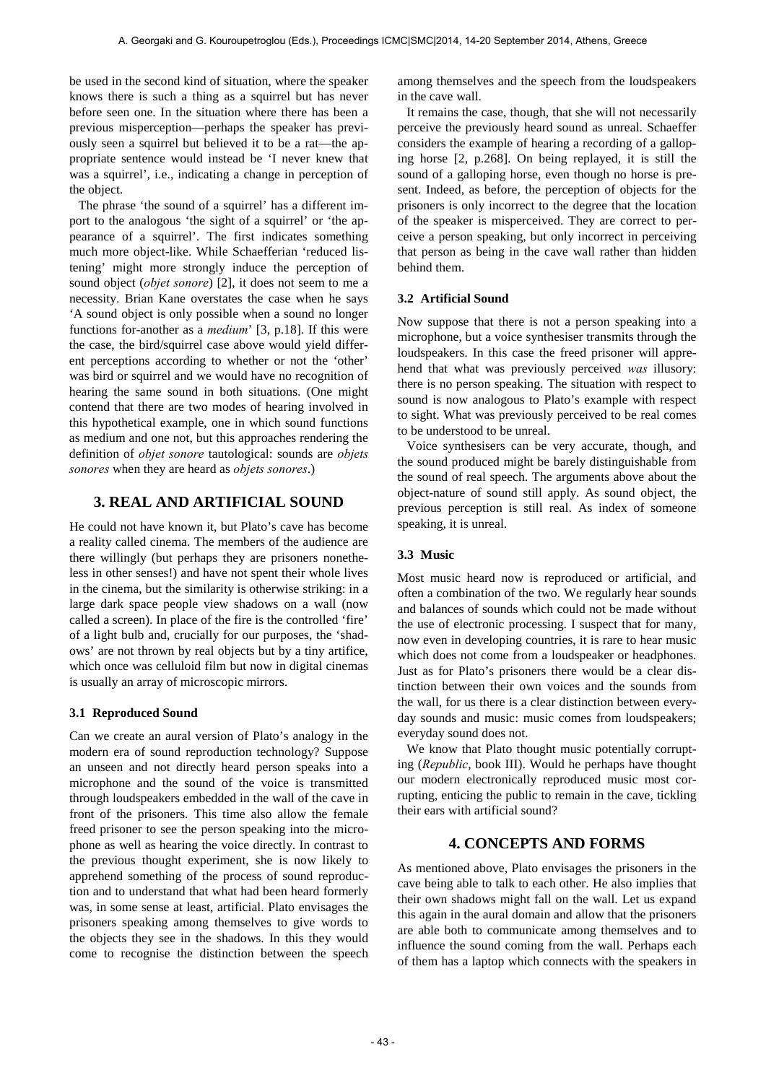be used in the second kind of situation, where the speaker knows there is such a thing as a squirrel but has never before seen one. In the situation where there has been a previous misperception—perhaps the speaker has previously seen a squirrel but believed it to be a rat—the appropriate sentence would instead be 'I never knew that was a squirrel', i.e., indicating a change in perception of the object.

The phrase 'the sound of a squirrel' has a different import to the analogous 'the sight of a squirrel' or 'the appearance of a squirrel'. The first indicates something much more object-like. While Schaefferian 'reduced listening' might more strongly induce the perception of sound object (*objet sonore*) [2], it does not seem to me a necessity. Brian Kane overstates the case when he says 'A sound object is only possible when a sound no longer functions for-another as a *medium*' [3, p.18]. If this were the case, the bird/squirrel case above would yield different perceptions according to whether or not the 'other' was bird or squirrel and we would have no recognition of hearing the same sound in both situations. (One might contend that there are two modes of hearing involved in this hypothetical example, one in which sound functions as medium and one not, but this approaches rendering the definition of *objet sonore* tautological: sounds are *objets sonores* when they are heard as *objets sonores*.)

# **3. REAL AND ARTIFICIAL SOUND**

He could not have known it, but Plato's cave has become a reality called cinema. The members of the audience are there willingly (but perhaps they are prisoners nonetheless in other senses!) and have not spent their whole lives in the cinema, but the similarity is otherwise striking: in a large dark space people view shadows on a wall (now called a screen). In place of the fire is the controlled 'fire' of a light bulb and, crucially for our purposes, the 'shadows' are not thrown by real objects but by a tiny artifice, which once was celluloid film but now in digital cinemas is usually an array of microscopic mirrors.

# **3.1 Reproduced Sound**

Can we create an aural version of Plato's analogy in the modern era of sound reproduction technology? Suppose an unseen and not directly heard person speaks into a microphone and the sound of the voice is transmitted through loudspeakers embedded in the wall of the cave in front of the prisoners. This time also allow the female freed prisoner to see the person speaking into the microphone as well as hearing the voice directly. In contrast to the previous thought experiment, she is now likely to apprehend something of the process of sound reproduction and to understand that what had been heard formerly was, in some sense at least, artificial. Plato envisages the prisoners speaking among themselves to give words to the objects they see in the shadows. In this they would come to recognise the distinction between the speech

among themselves and the speech from the loudspeakers in the cave wall.

It remains the case, though, that she will not necessarily perceive the previously heard sound as unreal. Schaeffer considers the example of hearing a recording of a galloping horse [2, p.268]. On being replayed, it is still the sound of a galloping horse, even though no horse is present. Indeed, as before, the perception of objects for the prisoners is only incorrect to the degree that the location of the speaker is misperceived. They are correct to perceive a person speaking, but only incorrect in perceiving that person as being in the cave wall rather than hidden behind them.

# **3.2 Artificial Sound**

Now suppose that there is not a person speaking into a microphone, but a voice synthesiser transmits through the loudspeakers. In this case the freed prisoner will apprehend that what was previously perceived *was* illusory: there is no person speaking. The situation with respect to sound is now analogous to Plato's example with respect to sight. What was previously perceived to be real comes to be understood to be unreal.

Voice synthesisers can be very accurate, though, and the sound produced might be barely distinguishable from the sound of real speech. The arguments above about the object-nature of sound still apply. As sound object, the previous perception is still real. As index of someone speaking, it is unreal.

# **3.3 Music**

Most music heard now is reproduced or artificial, and often a combination of the two. We regularly hear sounds and balances of sounds which could not be made without the use of electronic processing. I suspect that for many, now even in developing countries, it is rare to hear music which does not come from a loudspeaker or headphones. Just as for Plato's prisoners there would be a clear distinction between their own voices and the sounds from the wall, for us there is a clear distinction between everyday sounds and music: music comes from loudspeakers; everyday sound does not.

We know that Plato thought music potentially corrupting (*Republic*, book III). Would he perhaps have thought our modern electronically reproduced music most corrupting, enticing the public to remain in the cave, tickling their ears with artificial sound?

# **4. CONCEPTS AND FORMS**

As mentioned above, Plato envisages the prisoners in the cave being able to talk to each other. He also implies that their own shadows might fall on the wall. Let us expand this again in the aural domain and allow that the prisoners are able both to communicate among themselves and to influence the sound coming from the wall. Perhaps each of them has a laptop which connects with the speakers in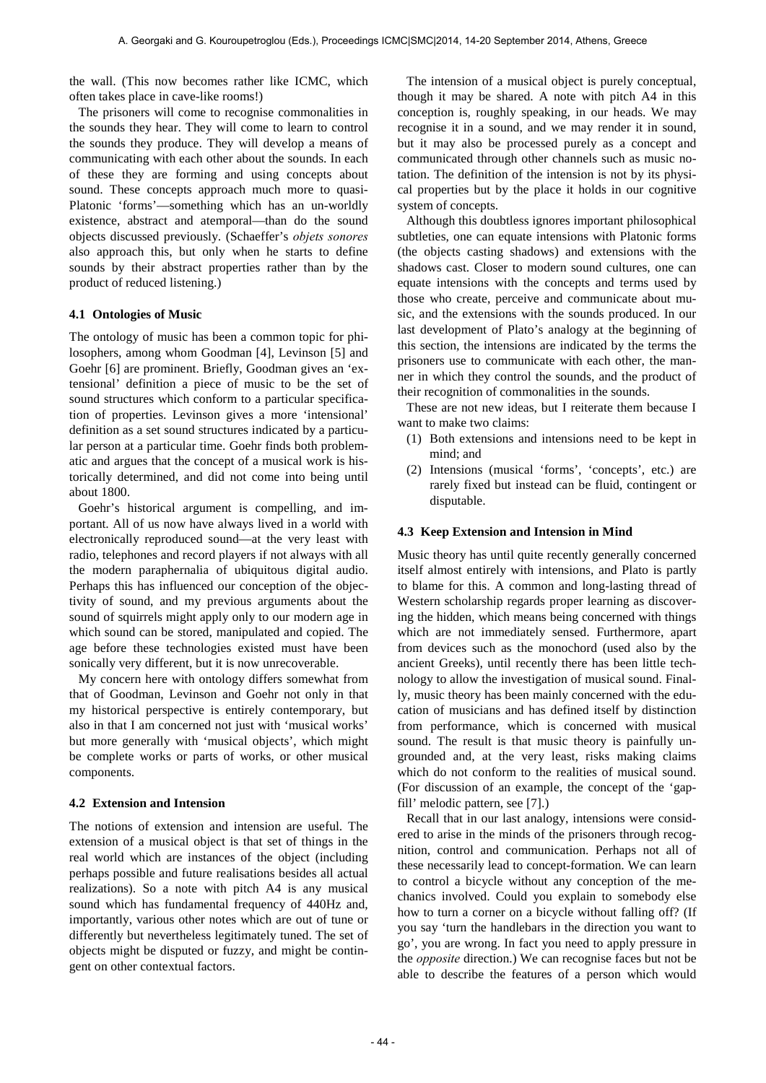the wall. (This now becomes rather like ICMC, which often takes place in cave-like rooms!)

The prisoners will come to recognise commonalities in the sounds they hear. They will come to learn to control the sounds they produce. They will develop a means of communicating with each other about the sounds. In each of these they are forming and using concepts about sound. These concepts approach much more to quasi-Platonic 'forms'—something which has an un-worldly existence, abstract and atemporal—than do the sound objects discussed previously. (Schaeffer's *objets sonores* also approach this, but only when he starts to define sounds by their abstract properties rather than by the product of reduced listening.)

### **4.1 Ontologies of Music**

The ontology of music has been a common topic for philosophers, among whom Goodman [4], Levinson [5] and Goehr [6] are prominent. Briefly, Goodman gives an 'extensional' definition a piece of music to be the set of sound structures which conform to a particular specification of properties. Levinson gives a more 'intensional' definition as a set sound structures indicated by a particular person at a particular time. Goehr finds both problematic and argues that the concept of a musical work is historically determined, and did not come into being until about 1800.

Goehr's historical argument is compelling, and important. All of us now have always lived in a world with electronically reproduced sound—at the very least with radio, telephones and record players if not always with all the modern paraphernalia of ubiquitous digital audio. Perhaps this has influenced our conception of the objectivity of sound, and my previous arguments about the sound of squirrels might apply only to our modern age in which sound can be stored, manipulated and copied. The age before these technologies existed must have been sonically very different, but it is now unrecoverable.

My concern here with ontology differs somewhat from that of Goodman, Levinson and Goehr not only in that my historical perspective is entirely contemporary, but also in that I am concerned not just with 'musical works' but more generally with 'musical objects', which might be complete works or parts of works, or other musical components.

#### **4.2 Extension and Intension**

The notions of extension and intension are useful. The extension of a musical object is that set of things in the real world which are instances of the object (including perhaps possible and future realisations besides all actual realizations). So a note with pitch A4 is any musical sound which has fundamental frequency of 440Hz and, importantly, various other notes which are out of tune or differently but nevertheless legitimately tuned. The set of objects might be disputed or fuzzy, and might be contingent on other contextual factors.

The intension of a musical object is purely conceptual, though it may be shared. A note with pitch A4 in this conception is, roughly speaking, in our heads. We may recognise it in a sound, and we may render it in sound, but it may also be processed purely as a concept and communicated through other channels such as music notation. The definition of the intension is not by its physical properties but by the place it holds in our cognitive system of concepts.

Although this doubtless ignores important philosophical subtleties, one can equate intensions with Platonic forms (the objects casting shadows) and extensions with the shadows cast. Closer to modern sound cultures, one can equate intensions with the concepts and terms used by those who create, perceive and communicate about music, and the extensions with the sounds produced. In our last development of Plato's analogy at the beginning of this section, the intensions are indicated by the terms the prisoners use to communicate with each other, the manner in which they control the sounds, and the product of their recognition of commonalities in the sounds.

These are not new ideas, but I reiterate them because I want to make two claims:

- (1) Both extensions and intensions need to be kept in mind; and
- (2) Intensions (musical 'forms', 'concepts', etc.) are rarely fixed but instead can be fluid, contingent or disputable.

#### **4.3 Keep Extension and Intension in Mind**

Music theory has until quite recently generally concerned itself almost entirely with intensions, and Plato is partly to blame for this. A common and long-lasting thread of Western scholarship regards proper learning as discovering the hidden, which means being concerned with things which are not immediately sensed. Furthermore, apart from devices such as the monochord (used also by the ancient Greeks), until recently there has been little technology to allow the investigation of musical sound. Finally, music theory has been mainly concerned with the education of musicians and has defined itself by distinction from performance, which is concerned with musical sound. The result is that music theory is painfully ungrounded and, at the very least, risks making claims which do not conform to the realities of musical sound. (For discussion of an example, the concept of the 'gapfill' melodic pattern, see [7].)

Recall that in our last analogy, intensions were considered to arise in the minds of the prisoners through recognition, control and communication. Perhaps not all of these necessarily lead to concept-formation. We can learn to control a bicycle without any conception of the mechanics involved. Could you explain to somebody else how to turn a corner on a bicycle without falling off? (If you say 'turn the handlebars in the direction you want to go', you are wrong. In fact you need to apply pressure in the *opposite* direction.) We can recognise faces but not be able to describe the features of a person which would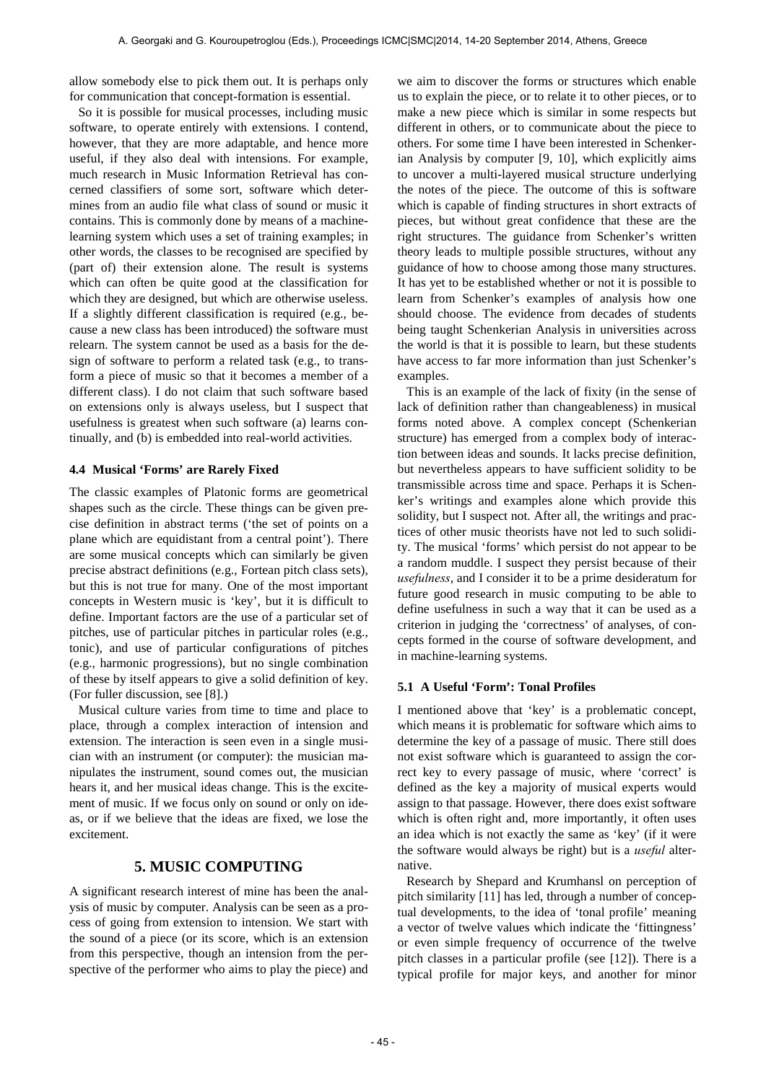allow somebody else to pick them out. It is perhaps only for communication that concept-formation is essential.

So it is possible for musical processes, including music software, to operate entirely with extensions. I contend, however, that they are more adaptable, and hence more useful, if they also deal with intensions. For example, much research in Music Information Retrieval has concerned classifiers of some sort, software which determines from an audio file what class of sound or music it contains. This is commonly done by means of a machinelearning system which uses a set of training examples; in other words, the classes to be recognised are specified by (part of) their extension alone. The result is systems which can often be quite good at the classification for which they are designed, but which are otherwise useless. If a slightly different classification is required (e.g., because a new class has been introduced) the software must relearn. The system cannot be used as a basis for the design of software to perform a related task (e.g., to transform a piece of music so that it becomes a member of a different class). I do not claim that such software based on extensions only is always useless, but I suspect that usefulness is greatest when such software (a) learns continually, and (b) is embedded into real-world activities.

### **4.4 Musical 'Forms' are Rarely Fixed**

The classic examples of Platonic forms are geometrical shapes such as the circle. These things can be given precise definition in abstract terms ('the set of points on a plane which are equidistant from a central point'). There are some musical concepts which can similarly be given precise abstract definitions (e.g., Fortean pitch class sets), but this is not true for many. One of the most important concepts in Western music is 'key', but it is difficult to define. Important factors are the use of a particular set of pitches, use of particular pitches in particular roles (e.g., tonic), and use of particular configurations of pitches (e.g., harmonic progressions), but no single combination of these by itself appears to give a solid definition of key. (For fuller discussion, see [8].)

Musical culture varies from time to time and place to place, through a complex interaction of intension and extension. The interaction is seen even in a single musician with an instrument (or computer): the musician manipulates the instrument, sound comes out, the musician hears it, and her musical ideas change. This is the excitement of music. If we focus only on sound or only on ideas, or if we believe that the ideas are fixed, we lose the excitement.

# **5. MUSIC COMPUTING**

A significant research interest of mine has been the analysis of music by computer. Analysis can be seen as a process of going from extension to intension. We start with the sound of a piece (or its score, which is an extension from this perspective, though an intension from the perspective of the performer who aims to play the piece) and we aim to discover the forms or structures which enable us to explain the piece, or to relate it to other pieces, or to make a new piece which is similar in some respects but different in others, or to communicate about the piece to others. For some time I have been interested in Schenkerian Analysis by computer [9, 10], which explicitly aims to uncover a multi-layered musical structure underlying the notes of the piece. The outcome of this is software which is capable of finding structures in short extracts of pieces, but without great confidence that these are the right structures. The guidance from Schenker's written theory leads to multiple possible structures, without any guidance of how to choose among those many structures. It has yet to be established whether or not it is possible to learn from Schenker's examples of analysis how one should choose. The evidence from decades of students being taught Schenkerian Analysis in universities across the world is that it is possible to learn, but these students have access to far more information than just Schenker's examples.

This is an example of the lack of fixity (in the sense of lack of definition rather than changeableness) in musical forms noted above. A complex concept (Schenkerian structure) has emerged from a complex body of interaction between ideas and sounds. It lacks precise definition, but nevertheless appears to have sufficient solidity to be transmissible across time and space. Perhaps it is Schenker's writings and examples alone which provide this solidity, but I suspect not. After all, the writings and practices of other music theorists have not led to such solidity. The musical 'forms' which persist do not appear to be a random muddle. I suspect they persist because of their *usefulness*, and I consider it to be a prime desideratum for future good research in music computing to be able to define usefulness in such a way that it can be used as a criterion in judging the 'correctness' of analyses, of concepts formed in the course of software development, and in machine-learning systems.

### **5.1 A Useful 'Form': Tonal Profiles**

I mentioned above that 'key' is a problematic concept, which means it is problematic for software which aims to determine the key of a passage of music. There still does not exist software which is guaranteed to assign the correct key to every passage of music, where 'correct' is defined as the key a majority of musical experts would assign to that passage. However, there does exist software which is often right and, more importantly, it often uses an idea which is not exactly the same as 'key' (if it were the software would always be right) but is a *useful* alternative.

Research by Shepard and Krumhansl on perception of pitch similarity [11] has led, through a number of conceptual developments, to the idea of 'tonal profile' meaning a vector of twelve values which indicate the 'fittingness' or even simple frequency of occurrence of the twelve pitch classes in a particular profile (see [12]). There is a typical profile for major keys, and another for minor